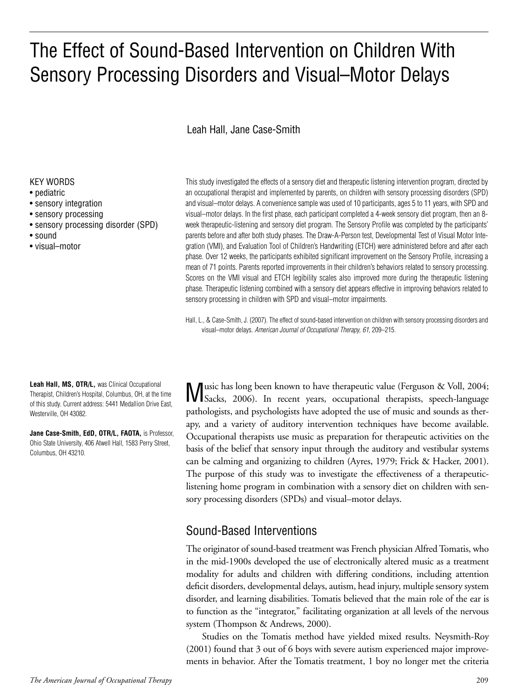# The Effect of Sound-Based Intervention on Children With Sensory Processing Disorders and Visual–Motor Delays

Leah Hall, Jane Case-Smith

#### KEY WORDS

- pediatric
- sensory integration
- sensory processing
- sensory processing disorder (SPD)
- sound
- visual–motor

This study investigated the effects of a sensory diet and therapeutic listening intervention program, directed by an occupational therapist and implemented by parents, on children with sensory processing disorders (SPD) and visual–motor delays. A convenience sample was used of 10 participants, ages 5 to 11 years, with SPD and visual–motor delays. In the first phase, each participant completed a 4-week sensory diet program, then an 8 week therapeutic-listening and sensory diet program. The Sensory Profile was completed by the participants' parents before and after both study phases. The Draw-A-Person test, Developmental Test of Visual Motor Integration (VMI), and Evaluation Tool of Children's Handwriting (ETCH) were administered before and after each phase. Over 12 weeks, the participants exhibited significant improvement on the Sensory Profile, increasing a mean of 71 points. Parents reported improvements in their children's behaviors related to sensory processing. Scores on the VMI visual and ETCH legibility scales also improved more during the therapeutic listening phase. Therapeutic listening combined with a sensory diet appears effective in improving behaviors related to sensory processing in children with SPD and visual–motor impairments.

Hall, L., & Case-Smith, J. (2007). The effect of sound-based intervention on children with sensory processing disorders and visual–motor delays. American Journal of Occupational Therapy, 61, 209–215.

**Leah Hall, MS, OTR/L,** was Clinical Occupational Therapist, Children's Hospital, Columbus, OH, at the time of this study. Current address: 5441 Medallion Drive East, Westerville, OH 43082.

**Jane Case-Smith, EdD, OTR/L, FAOTA,** is Professor, Ohio State University, 406 Atwell Hall, 1583 Perry Street, Columbus, OH 43210.

M usic has long been known to have therapeutic value (Ferguson & Voll, 2004; Sacks, 2006). In recent years, occupational therapists, speech-language pathologists, and psychologists have adopted the use of music and sounds as therapy, and a variety of auditory intervention techniques have become available. Occupational therapists use music as preparation for therapeutic activities on the basis of the belief that sensory input through the auditory and vestibular systems can be calming and organizing to children (Ayres, 1979; Frick & Hacker, 2001). The purpose of this study was to investigate the effectiveness of a therapeuticlistening home program in combination with a sensory diet on children with sensory processing disorders (SPDs) and visual–motor delays.

# Sound-Based Interventions

The originator of sound-based treatment was French physician Alfred Tomatis, who in the mid-1900s developed the use of electronically altered music as a treatment modality for adults and children with differing conditions, including attention deficit disorders, developmental delays, autism, head injury, multiple sensory system disorder, and learning disabilities. Tomatis believed that the main role of the ear is to function as the "integrator," facilitating organization at all levels of the nervous system (Thompson & Andrews, 2000).

Studies on the Tomatis method have yielded mixed results. Neysmith-Roy (2001) found that 3 out of 6 boys with severe autism experienced major improvements in behavior. After the Tomatis treatment, 1 boy no longer met the criteria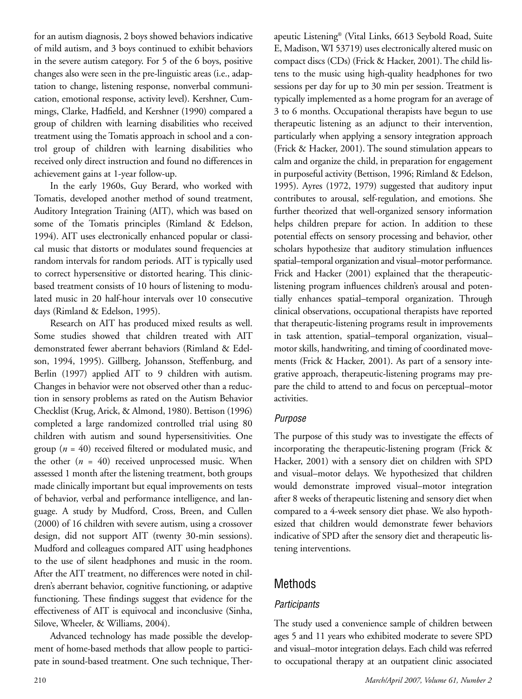for an autism diagnosis, 2 boys showed behaviors indicative of mild autism, and 3 boys continued to exhibit behaviors in the severe autism category. For 5 of the 6 boys, positive changes also were seen in the pre-linguistic areas (i.e., adaptation to change, listening response, nonverbal communication, emotional response, activity level). Kershner, Cummings, Clarke, Hadfield, and Kershner (1990) compared a group of children with learning disabilities who received treatment using the Tomatis approach in school and a control group of children with learning disabilities who received only direct instruction and found no differences in achievement gains at 1-year follow-up.

In the early 1960s, Guy Berard, who worked with Tomatis, developed another method of sound treatment, Auditory Integration Training (AIT), which was based on some of the Tomatis principles (Rimland & Edelson, 1994). AIT uses electronically enhanced popular or classical music that distorts or modulates sound frequencies at random intervals for random periods. AIT is typically used to correct hypersensitive or distorted hearing. This clinicbased treatment consists of 10 hours of listening to modulated music in 20 half-hour intervals over 10 consecutive days (Rimland & Edelson, 1995).

Research on AIT has produced mixed results as well. Some studies showed that children treated with AIT demonstrated fewer aberrant behaviors (Rimland & Edelson, 1994, 1995). Gillberg, Johansson, Steffenburg, and Berlin (1997) applied AIT to 9 children with autism. Changes in behavior were not observed other than a reduction in sensory problems as rated on the Autism Behavior Checklist (Krug, Arick, & Almond, 1980). Bettison (1996) completed a large randomized controlled trial using 80 children with autism and sound hypersensitivities. One group (*n* = 40) received filtered or modulated music, and the other  $(n = 40)$  received unprocessed music. When assessed 1 month after the listening treatment, both groups made clinically important but equal improvements on tests of behavior, verbal and performance intelligence, and language. A study by Mudford, Cross, Breen, and Cullen (2000) of 16 children with severe autism, using a crossover design, did not support AIT (twenty 30-min sessions). Mudford and colleagues compared AIT using headphones to the use of silent headphones and music in the room. After the AIT treatment, no differences were noted in children's aberrant behavior, cognitive functioning, or adaptive functioning. These findings suggest that evidence for the effectiveness of AIT is equivocal and inconclusive (Sinha, Silove, Wheeler, & Williams, 2004).

Advanced technology has made possible the development of home-based methods that allow people to participate in sound-based treatment. One such technique, Therapeutic Listening® (Vital Links, 6613 Seybold Road, Suite E, Madison, WI 53719) uses electronically altered music on compact discs (CDs) (Frick & Hacker, 2001). The child listens to the music using high-quality headphones for two sessions per day for up to 30 min per session. Treatment is typically implemented as a home program for an average of 3 to 6 months. Occupational therapists have begun to use therapeutic listening as an adjunct to their intervention, particularly when applying a sensory integration approach (Frick & Hacker, 2001). The sound stimulation appears to calm and organize the child, in preparation for engagement in purposeful activity (Bettison, 1996; Rimland & Edelson, 1995). Ayres (1972, 1979) suggested that auditory input contributes to arousal, self-regulation, and emotions. She further theorized that well-organized sensory information helps children prepare for action. In addition to these potential effects on sensory processing and behavior, other scholars hypothesize that auditory stimulation influences spatial–temporal organization and visual–motor performance. Frick and Hacker (2001) explained that the therapeuticlistening program influences children's arousal and potentially enhances spatial–temporal organization. Through clinical observations, occupational therapists have reported that therapeutic-listening programs result in improvements in task attention, spatial–temporal organization, visual– motor skills, handwriting, and timing of coordinated movements (Frick & Hacker, 2001). As part of a sensory integrative approach, therapeutic-listening programs may prepare the child to attend to and focus on perceptual–motor activities.

#### Purpose

The purpose of this study was to investigate the effects of incorporating the therapeutic-listening program (Frick & Hacker, 2001) with a sensory diet on children with SPD and visual–motor delays. We hypothesized that children would demonstrate improved visual–motor integration after 8 weeks of therapeutic listening and sensory diet when compared to a 4-week sensory diet phase. We also hypothesized that children would demonstrate fewer behaviors indicative of SPD after the sensory diet and therapeutic listening interventions.

# Methods

## **Participants**

The study used a convenience sample of children between ages 5 and 11 years who exhibited moderate to severe SPD and visual–motor integration delays. Each child was referred to occupational therapy at an outpatient clinic associated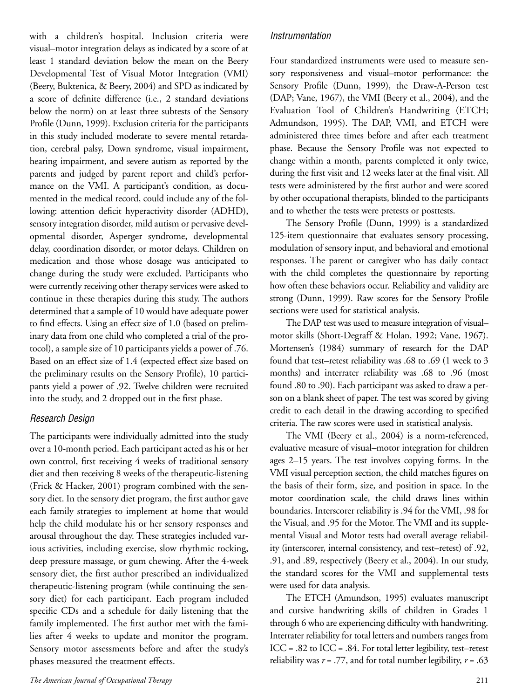with a children's hospital. Inclusion criteria were visual–motor integration delays as indicated by a score of at least 1 standard deviation below the mean on the Beery Developmental Test of Visual Motor Integration (VMI) (Beery, Buktenica, & Beery, 2004) and SPD as indicated by a score of definite difference (i.e., 2 standard deviations below the norm) on at least three subtests of the Sensory Profile (Dunn, 1999). Exclusion criteria for the participants in this study included moderate to severe mental retardation, cerebral palsy, Down syndrome, visual impairment, hearing impairment, and severe autism as reported by the parents and judged by parent report and child's performance on the VMI. A participant's condition, as documented in the medical record, could include any of the following: attention deficit hyperactivity disorder (ADHD), sensory integration disorder, mild autism or pervasive developmental disorder, Asperger syndrome, developmental delay, coordination disorder, or motor delays. Children on medication and those whose dosage was anticipated to change during the study were excluded. Participants who were currently receiving other therapy services were asked to continue in these therapies during this study. The authors determined that a sample of 10 would have adequate power to find effects. Using an effect size of 1.0 (based on preliminary data from one child who completed a trial of the protocol), a sample size of 10 participants yields a power of .76. Based on an effect size of 1.4 (expected effect size based on the preliminary results on the Sensory Profile), 10 participants yield a power of .92. Twelve children were recruited into the study, and 2 dropped out in the first phase.

#### Research Design

The participants were individually admitted into the study over a 10-month period. Each participant acted as his or her own control, first receiving 4 weeks of traditional sensory diet and then receiving 8 weeks of the therapeutic-listening (Frick & Hacker, 2001) program combined with the sensory diet. In the sensory diet program, the first author gave each family strategies to implement at home that would help the child modulate his or her sensory responses and arousal throughout the day. These strategies included various activities, including exercise, slow rhythmic rocking, deep pressure massage, or gum chewing. After the 4-week sensory diet, the first author prescribed an individualized therapeutic-listening program (while continuing the sensory diet) for each participant. Each program included specific CDs and a schedule for daily listening that the family implemented. The first author met with the families after 4 weeks to update and monitor the program. Sensory motor assessments before and after the study's phases measured the treatment effects.

### Instrumentation

Four standardized instruments were used to measure sensory responsiveness and visual–motor performance: the Sensory Profile (Dunn, 1999), the Draw-A-Person test (DAP; Vane, 1967), the VMI (Beery et al., 2004), and the Evaluation Tool of Children's Handwriting (ETCH; Admundson, 1995). The DAP, VMI, and ETCH were administered three times before and after each treatment phase. Because the Sensory Profile was not expected to change within a month, parents completed it only twice, during the first visit and 12 weeks later at the final visit. All tests were administered by the first author and were scored by other occupational therapists, blinded to the participants and to whether the tests were pretests or posttests.

The Sensory Profile (Dunn, 1999) is a standardized 125-item questionnaire that evaluates sensory processing, modulation of sensory input, and behavioral and emotional responses. The parent or caregiver who has daily contact with the child completes the questionnaire by reporting how often these behaviors occur. Reliability and validity are strong (Dunn, 1999). Raw scores for the Sensory Profile sections were used for statistical analysis.

The DAP test was used to measure integration of visual– motor skills (Short-Degraff & Holan, 1992; Vane, 1967). Mortensen's (1984) summary of research for the DAP found that test–retest reliability was .68 to .69 (1 week to 3 months) and interrater reliability was .68 to .96 (most found .80 to .90). Each participant was asked to draw a person on a blank sheet of paper. The test was scored by giving credit to each detail in the drawing according to specified criteria. The raw scores were used in statistical analysis.

The VMI (Beery et al., 2004) is a norm-referenced, evaluative measure of visual–motor integration for children ages 2–15 years. The test involves copying forms. In the VMI visual perception section, the child matches figures on the basis of their form, size, and position in space. In the motor coordination scale, the child draws lines within boundaries. Interscorer reliability is .94 for the VMI, .98 for the Visual, and .95 for the Motor. The VMI and its supplemental Visual and Motor tests had overall average reliability (interscorer, internal consistency, and test–retest) of .92, .91, and .89, respectively (Beery et al., 2004). In our study, the standard scores for the VMI and supplemental tests were used for data analysis.

The ETCH (Amundson, 1995) evaluates manuscript and cursive handwriting skills of children in Grades 1 through 6 who are experiencing difficulty with handwriting. Interrater reliability for total letters and numbers ranges from ICC = .82 to ICC = .84. For total letter legibility, test–retest reliability was  $r = .77$ , and for total number legibility,  $r = .63$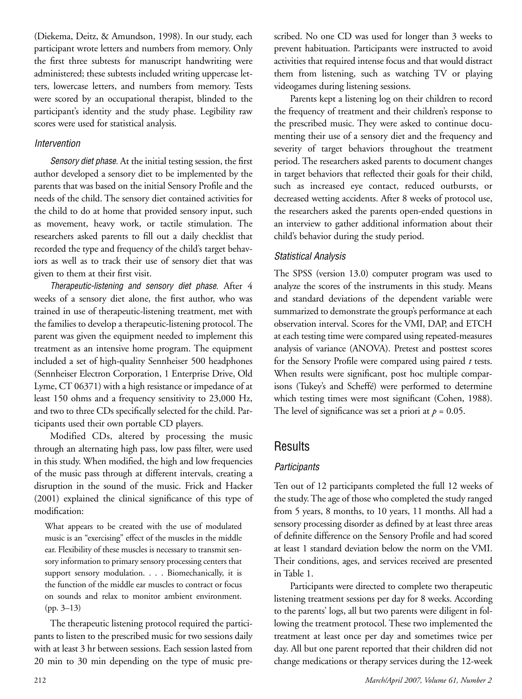(Diekema, Deitz, & Amundson, 1998). In our study, each participant wrote letters and numbers from memory. Only the first three subtests for manuscript handwriting were administered; these subtests included writing uppercase letters, lowercase letters, and numbers from memory. Tests were scored by an occupational therapist, blinded to the participant's identity and the study phase. Legibility raw scores were used for statistical analysis.

#### Intervention

Sensory diet phase. At the initial testing session, the first author developed a sensory diet to be implemented by the parents that was based on the initial Sensory Profile and the needs of the child. The sensory diet contained activities for the child to do at home that provided sensory input, such as movement, heavy work, or tactile stimulation. The researchers asked parents to fill out a daily checklist that recorded the type and frequency of the child's target behaviors as well as to track their use of sensory diet that was given to them at their first visit.

Therapeutic-listening and sensory diet phase. After 4 weeks of a sensory diet alone, the first author, who was trained in use of therapeutic-listening treatment, met with the families to develop a therapeutic-listening protocol. The parent was given the equipment needed to implement this treatment as an intensive home program. The equipment included a set of high-quality Sennheiser 500 headphones (Sennheiser Electron Corporation, 1 Enterprise Drive, Old Lyme, CT 06371) with a high resistance or impedance of at least 150 ohms and a frequency sensitivity to 23,000 Hz, and two to three CDs specifically selected for the child. Participants used their own portable CD players.

Modified CDs, altered by processing the music through an alternating high pass, low pass filter, were used in this study. When modified, the high and low frequencies of the music pass through at different intervals, creating a disruption in the sound of the music. Frick and Hacker (2001) explained the clinical significance of this type of modification:

What appears to be created with the use of modulated music is an "exercising" effect of the muscles in the middle ear. Flexibility of these muscles is necessary to transmit sensory information to primary sensory processing centers that support sensory modulation. . . . Biomechanically, it is the function of the middle ear muscles to contract or focus on sounds and relax to monitor ambient environment. (pp. 3–13)

The therapeutic listening protocol required the participants to listen to the prescribed music for two sessions daily with at least 3 hr between sessions. Each session lasted from 20 min to 30 min depending on the type of music prescribed. No one CD was used for longer than 3 weeks to prevent habituation. Participants were instructed to avoid activities that required intense focus and that would distract them from listening, such as watching TV or playing videogames during listening sessions.

Parents kept a listening log on their children to record the frequency of treatment and their children's response to the prescribed music. They were asked to continue documenting their use of a sensory diet and the frequency and severity of target behaviors throughout the treatment period. The researchers asked parents to document changes in target behaviors that reflected their goals for their child, such as increased eye contact, reduced outbursts, or decreased wetting accidents. After 8 weeks of protocol use, the researchers asked the parents open-ended questions in an interview to gather additional information about their child's behavior during the study period.

## Statistical Analysis

The SPSS (version 13.0) computer program was used to analyze the scores of the instruments in this study. Means and standard deviations of the dependent variable were summarized to demonstrate the group's performance at each observation interval. Scores for the VMI, DAP, and ETCH at each testing time were compared using repeated-measures analysis of variance (ANOVA). Pretest and posttest scores for the Sensory Profile were compared using paired *t* tests. When results were significant, post hoc multiple comparisons (Tukey's and Scheffé) were performed to determine which testing times were most significant (Cohen, 1988). The level of significance was set a priori at  $p = 0.05$ .

## Results

#### **Participants**

Ten out of 12 participants completed the full 12 weeks of the study. The age of those who completed the study ranged from 5 years, 8 months, to 10 years, 11 months. All had a sensory processing disorder as defined by at least three areas of definite difference on the Sensory Profile and had scored at least 1 standard deviation below the norm on the VMI. Their conditions, ages, and services received are presented in Table 1.

Participants were directed to complete two therapeutic listening treatment sessions per day for 8 weeks. According to the parents' logs, all but two parents were diligent in following the treatment protocol. These two implemented the treatment at least once per day and sometimes twice per day. All but one parent reported that their children did not change medications or therapy services during the 12-week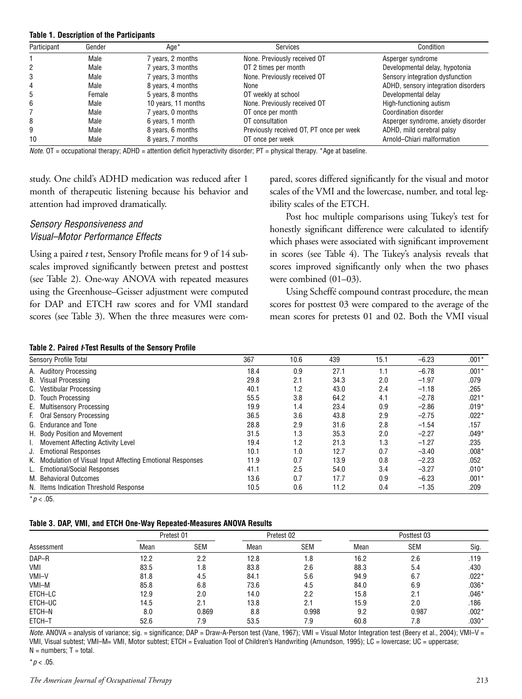#### **Table 1. Description of the Participants**

| Participant | Gender | Age*                | <b>Services</b>                          | Condition                           |
|-------------|--------|---------------------|------------------------------------------|-------------------------------------|
|             | Male   | 7 years, 2 months   | None. Previously received OT             | Asperger syndrome                   |
| 2           | Male   | 7 years, 3 months   | OT 2 times per month                     | Developmental delay, hypotonia      |
| 3           | Male   | 7 years, 3 months   | None. Previously received OT             | Sensory integration dysfunction     |
| 4           | Male   | 8 years, 4 months   | None                                     | ADHD, sensory integration disorders |
| 5           | Female | 5 years, 8 months   | OT weekly at school                      | Developmental delay                 |
| 6           | Male   | 10 years, 11 months | None. Previously received OT             | High-functioning autism             |
|             | Male   | 7 years, 0 months   | OT once per month                        | Coordination disorder               |
| 8           | Male   | 6 years, 1 month    | OT consultation                          | Asperger syndrome, anxiety disorder |
| 9           | Male   | 8 years, 6 months   | Previously received OT, PT once per week | ADHD, mild cerebral palsy           |
| 10          | Male   | 8 years, 7 months   | OT once per week                         | Arnold-Chiari malformation          |

Note.  $OT =$  occupational therapy; ADHD = attention deficit hyperactivity disorder;  $PT =$  physical therapy. \*Age at baseline.

study. One child's ADHD medication was reduced after 1 month of therapeutic listening because his behavior and attention had improved dramatically.

#### Sensory Responsiveness and Visual–Motor Performance Effects

Using a paired *t* test, Sensory Profile means for 9 of 14 subscales improved significantly between pretest and posttest (see Table 2). One-way ANOVA with repeated measures using the Greenhouse–Geisser adjustment were computed for DAP and ETCH raw scores and for VMI standard scores (see Table 3). When the three measures were compared, scores differed significantly for the visual and motor scales of the VMI and the lowercase, number, and total legibility scales of the ETCH.

Post hoc multiple comparisons using Tukey's test for honestly significant difference were calculated to identify which phases were associated with significant improvement in scores (see Table 4). The Tukey's analysis reveals that scores improved significantly only when the two phases were combined (01–03).

Using Scheffé compound contrast procedure, the mean scores for posttest 03 were compared to the average of the mean scores for pretests 01 and 02. Both the VMI visual

#### **Table 2. Paired t-Test Results of the Sensory Profile**

| Sensory Profile Total |                                                             | 367  | 10.6 | 439  | 15.1 | $-6.23$ | $.001*$ |
|-----------------------|-------------------------------------------------------------|------|------|------|------|---------|---------|
|                       | A. Auditory Processing                                      | 18.4 | 0.9  | 27.1 | 1.1  | $-6.78$ | $.001*$ |
|                       | B. Visual Processing                                        | 29.8 | 2.1  | 34.3 | 2.0  | $-1.97$ | .079    |
|                       | C. Vestibular Processing                                    | 40.1 | 1.2  | 43.0 | 2.4  | $-1.18$ | .265    |
|                       | D. Touch Processing                                         | 55.5 | 3.8  | 64.2 | 4.1  | $-2.78$ | $.021*$ |
|                       | E. Multisensory Processing                                  | 19.9 | 1.4  | 23.4 | 0.9  | $-2.86$ | $.019*$ |
|                       | F. Oral Sensory Processing                                  | 36.5 | 3.6  | 43.8 | 2.9  | $-2.75$ | $.022*$ |
|                       | G. Endurance and Tone                                       | 28.8 | 2.9  | 31.6 | 2.8  | $-1.54$ | .157    |
|                       | H. Body Position and Movement                               | 31.5 | 1.3  | 35.3 | 2.0  | $-2.27$ | $.049*$ |
|                       | Movement Affecting Activity Level                           | 19.4 | 1.2  | 21.3 | 1.3  | $-1.27$ | .235    |
|                       | J. Emotional Responses                                      | 10.1 | 1.0  | 12.7 | 0.7  | $-3.40$ | $.008*$ |
|                       | K. Modulation of Visual Input Affecting Emotional Responses | 11.9 | 0.7  | 13.9 | 0.8  | $-2.23$ | .052    |
|                       | L. Emotional/Social Responses                               | 41.1 | 2.5  | 54.0 | 3.4  | $-3.27$ | $.010*$ |
|                       | M. Behavioral Outcomes                                      | 13.6 | 0.7  | 17.7 | 0.9  | $-6.23$ | $.001*$ |
|                       | N. Items Indication Threshold Response                      | 10.5 | 0.6  | 11.2 | 0.4  | $-1.35$ | .209    |

 $*p < .05$ .

#### **Table 3. DAP, VMI, and ETCH One-Way Repeated-Measures ANOVA Results**

|            | Pretest 01 |            | Pretest 02 |            | Posttest 03 |            |         |
|------------|------------|------------|------------|------------|-------------|------------|---------|
| Assessment | Mean       | <b>SEM</b> | Mean       | <b>SEM</b> | Mean        | <b>SEM</b> | Sig.    |
| DAP-R      | 12.2       | 2.2        | 12.8       | 1.8        | 16.2        | 2.6        | .119    |
| VMI        | 83.5       | 1.8        | 83.8       | 2.6        | 88.3        | 5.4        | .430    |
| VMI-V      | 81.8       | 4.5        | 84.1       | 5.6        | 94.9        | 6.7        | $.022*$ |
| VMI-M      | 85.8       | 6.8        | 73.6       | 4.5        | 84.0        | 6.9        | $.036*$ |
| ETCH-LC    | 12.9       | 2.0        | 14.0       | 2.2        | 15.8        | 2.1        | $.046*$ |
| ETCH-UC    | 14.5       | 2.1        | 13.8       | 2.1        | 15.9        | 2.0        | .186    |
| ETCH-N     | 8.0        | 0.869      | 8.8        | 0.998      | 9.2         | 0.987      | $.002*$ |
| ETCH-T     | 52.6       | 7.9        | 53.5       | 7.9        | 60.8        | 7.8        | $.030*$ |

Note. ANOVA = analysis of variance; sig. = significance; DAP = Draw-A-Person test (Vane, 1967); VMI = Visual Motor Integration test (Beery et al., 2004); VMI-V = VMI, Visual subtest; VMI–M= VMI, Motor subtest; ETCH = Evaluation Tool of Children's Handwriting (Amundson, 1995); LC = lowercase; UC = uppercase;  $N =$  numbers;  $T =$  total.

#### $*p < .05$ .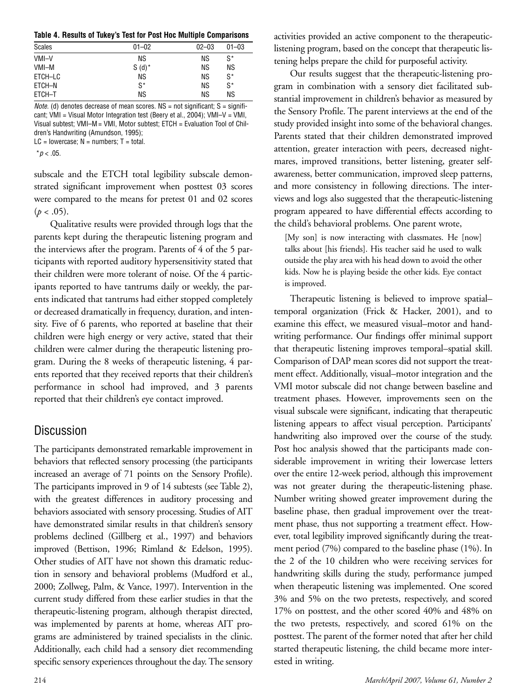**Table 4. Results of Tukey's Test for Post Hoc Multiple Comparisons**

| <b>Scales</b> | $01 - 02$ | $02 - 03$ | $01 - 03$ |
|---------------|-----------|-----------|-----------|
| VMI-V         | ΝS        | ΝS        | S*        |
| VMI-M         | $S(d)^*$  | <b>NS</b> | ΝS        |
| ETCH-LC       | ΝS        | <b>NS</b> | $S^*$     |
| ETCH-N        | $S^*$     | <b>NS</b> | $S^*$     |
| ETCH-T        | <b>NS</b> | ΝS        | ΝS        |
|               |           |           |           |

*Note.* (d) denotes decrease of mean scores.  $NS = not$  significant;  $S =$  significant; VMI = Visual Motor Integration test (Beery et al., 2004); VMI–V = VMI, Visual subtest; VMI–M = VMI, Motor subtest; ETCH = Evaluation Tool of Children's Handwriting (Amundson, 1995);

 $LC = lowercase$ ; N = numbers; T = total.

 $* p < .05$ .

subscale and the ETCH total legibility subscale demonstrated significant improvement when posttest 03 scores were compared to the means for pretest 01 and 02 scores  $(p < .05)$ .

Qualitative results were provided through logs that the parents kept during the therapeutic listening program and the interviews after the program. Parents of 4 of the 5 participants with reported auditory hypersensitivity stated that their children were more tolerant of noise. Of the 4 participants reported to have tantrums daily or weekly, the parents indicated that tantrums had either stopped completely or decreased dramatically in frequency, duration, and intensity. Five of 6 parents, who reported at baseline that their children were high energy or very active, stated that their children were calmer during the therapeutic listening program. During the 8 weeks of therapeutic listening, 4 parents reported that they received reports that their children's performance in school had improved, and 3 parents reported that their children's eye contact improved.

## Discussion

The participants demonstrated remarkable improvement in behaviors that reflected sensory processing (the participants increased an average of 71 points on the Sensory Profile). The participants improved in 9 of 14 subtests (see Table 2), with the greatest differences in auditory processing and behaviors associated with sensory processing. Studies of AIT have demonstrated similar results in that children's sensory problems declined (Gillberg et al., 1997) and behaviors improved (Bettison, 1996; Rimland & Edelson, 1995). Other studies of AIT have not shown this dramatic reduction in sensory and behavioral problems (Mudford et al., 2000; Zollweg, Palm, & Vance, 1997). Intervention in the current study differed from these earlier studies in that the therapeutic-listening program, although therapist directed, was implemented by parents at home, whereas AIT programs are administered by trained specialists in the clinic. Additionally, each child had a sensory diet recommending specific sensory experiences throughout the day. The sensory activities provided an active component to the therapeuticlistening program, based on the concept that therapeutic listening helps prepare the child for purposeful activity.

Our results suggest that the therapeutic-listening program in combination with a sensory diet facilitated substantial improvement in children's behavior as measured by the Sensory Profile. The parent interviews at the end of the study provided insight into some of the behavioral changes. Parents stated that their children demonstrated improved attention, greater interaction with peers, decreased nightmares, improved transitions, better listening, greater selfawareness, better communication, improved sleep patterns, and more consistency in following directions. The interviews and logs also suggested that the therapeutic-listening program appeared to have differential effects according to the child's behavioral problems. One parent wrote,

[My son] is now interacting with classmates. He [now] talks about [his friends]. His teacher said he used to walk outside the play area with his head down to avoid the other kids. Now he is playing beside the other kids. Eye contact is improved.

Therapeutic listening is believed to improve spatial– temporal organization (Frick & Hacker, 2001), and to examine this effect, we measured visual–motor and handwriting performance. Our findings offer minimal support that therapeutic listening improves temporal–spatial skill. Comparison of DAP mean scores did not support the treatment effect. Additionally, visual–motor integration and the VMI motor subscale did not change between baseline and treatment phases. However, improvements seen on the visual subscale were significant, indicating that therapeutic listening appears to affect visual perception. Participants' handwriting also improved over the course of the study. Post hoc analysis showed that the participants made considerable improvement in writing their lowercase letters over the entire 12-week period, although this improvement was not greater during the therapeutic-listening phase. Number writing showed greater improvement during the baseline phase, then gradual improvement over the treatment phase, thus not supporting a treatment effect. However, total legibility improved significantly during the treatment period (7%) compared to the baseline phase (1%). In the 2 of the 10 children who were receiving services for handwriting skills during the study, performance jumped when therapeutic listening was implemented. One scored 3% and 5% on the two pretests, respectively, and scored 17% on posttest, and the other scored 40% and 48% on the two pretests, respectively, and scored 61% on the posttest. The parent of the former noted that after her child started therapeutic listening, the child became more interested in writing.